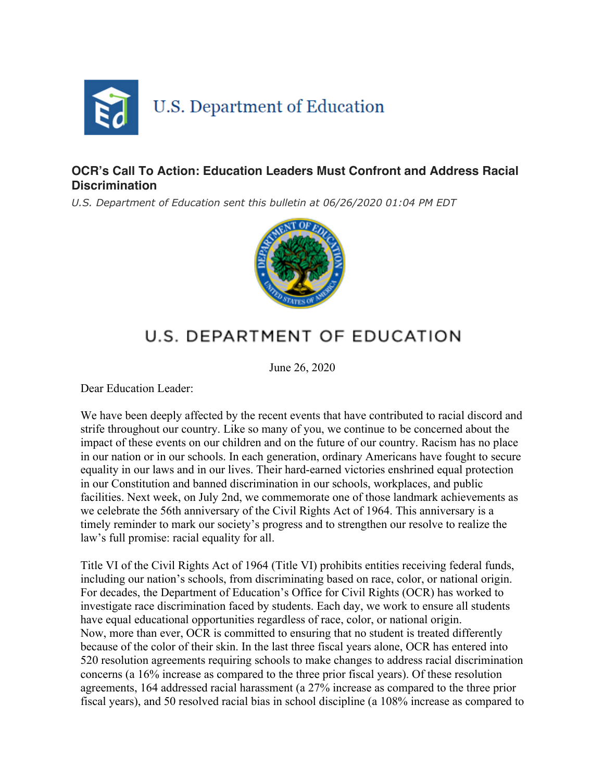

## **OCR's Call To Action: Education Leaders Must Confront and Address Racial Discrimination**

*U.S. Department of Education sent this bulletin at 06/26/2020 01:04 PM EDT*



## U.S. DEPARTMENT OF EDUCATION

June 26, 2020

Dear Education Leader:

We have been deeply affected by the recent events that have contributed to racial discord and strife throughout our country. Like so many of you, we continue to be concerned about the impact of these events on our children and on the future of our country. Racism has no place in our nation or in our schools. In each generation, ordinary Americans have fought to secure equality in our laws and in our lives. Their hard-earned victories enshrined equal protection in our Constitution and banned discrimination in our schools, workplaces, and public facilities. Next week, on July 2nd, we commemorate one of those landmark achievements as we celebrate the 56th anniversary of the Civil Rights Act of 1964. This anniversary is a timely reminder to mark our society's progress and to strengthen our resolve to realize the law's full promise: racial equality for all.

Title VI of the Civil Rights Act of 1964 (Title VI) prohibits entities receiving federal funds, including our nation's schools, from discriminating based on race, color, or national origin. For decades, the Department of Education's Office for Civil Rights (OCR) has worked to investigate race discrimination faced by students. Each day, we work to ensure all students have equal educational opportunities regardless of race, color, or national origin. Now, more than ever, OCR is committed to ensuring that no student is treated differently because of the color of their skin. In the last three fiscal years alone, OCR has entered into 520 resolution agreements requiring schools to make changes to address racial discrimination concerns (a 16% increase as compared to the three prior fiscal years). Of these resolution agreements, 164 addressed racial harassment (a 27% increase as compared to the three prior fiscal years), and 50 resolved racial bias in school discipline (a 108% increase as compared to